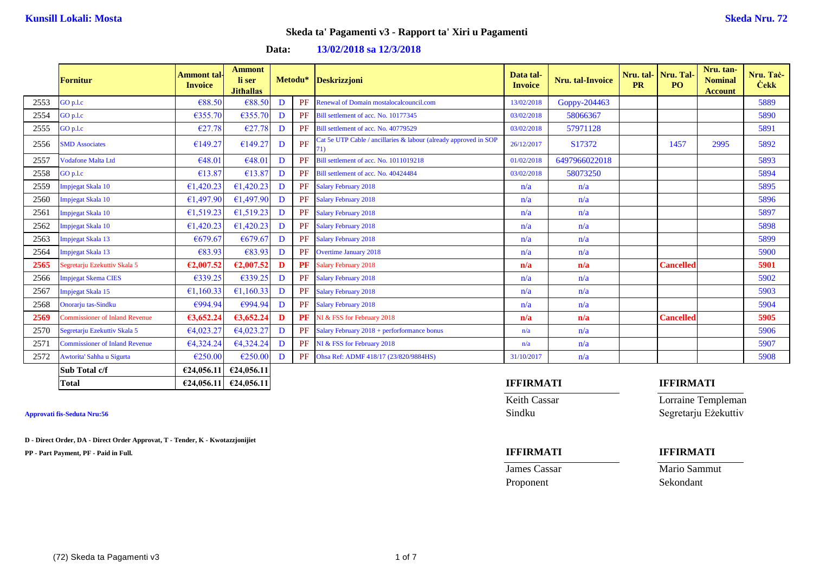## **Data: 13/02/2018 sa 12/3/2018**

|      | <b>Fornitur</b>                       | <b>Ammont tal-</b><br><b>Invoice</b> | <b>Ammont</b><br>li ser<br><b>Jithallas</b> |   | Metodu*   | <b>Deskrizzjoni</b>                                                     | Data tal-<br><b>Invoice</b> | Nru. tal-Invoice | Nru. tal-<br><b>PR</b> | Nru. Tal-<br>PO <sub>1</sub> | Nru. tan-<br><b>Nominal</b><br><b>Account</b> | Nru. Tač-<br><b>Cekk</b> |
|------|---------------------------------------|--------------------------------------|---------------------------------------------|---|-----------|-------------------------------------------------------------------------|-----------------------------|------------------|------------------------|------------------------------|-----------------------------------------------|--------------------------|
| 2553 | GO p.l.c                              | €88.50                               | €88.50                                      | D | <b>PF</b> | Renewal of Domain mostalocalcouncil.com                                 | 13/02/2018                  | Goppy-204463     |                        |                              |                                               | 5889                     |
| 2554 | GO p.l.c                              | €355.70                              | €355.70                                     | D | PF        | Bill settlement of acc. No. 10177345                                    | 03/02/2018                  | 58066367         |                        |                              |                                               | 5890                     |
| 2555 | GO p.l.c                              | €27.78                               | €27.78                                      | D | PF        | Bill settlement of acc. No. 40779529                                    | 03/02/2018                  | 57971128         |                        |                              |                                               | 5891                     |
| 2556 | <b>SMD</b> Associates                 | €149.27                              | €149.27                                     | D | PF        | Cat 5e UTP Cable / ancillaries & labour (already approved in SOP<br>71) | 26/12/2017                  | S17372           |                        | 1457                         | 2995                                          | 5892                     |
| 2557 | <b>Vodafone Malta Ltd</b>             | €48.01                               | €48.01                                      | D | PF        | Bill settlement of acc. No. 1011019218                                  | 01/02/2018                  | 6497966022018    |                        |                              |                                               | 5893                     |
| 2558 | GO p.l.c                              | €13.87                               | €13.87                                      | D | PF        | Bill settlement of acc. No. 40424484                                    | 03/02/2018                  | 58073250         |                        |                              |                                               | 5894                     |
| 2559 | Impjegat Skala 10                     | €1,420.23                            | €1,420.23                                   | D | PF        | <b>Salary February 2018</b>                                             | n/a                         | n/a              |                        |                              |                                               | 5895                     |
| 2560 | Impjegat Skala 10                     | €1,497.90                            | €1,497.90                                   | D | PF        | <b>Salary February 2018</b>                                             | n/a                         | n/a              |                        |                              |                                               | 5896                     |
| 2561 | Impjegat Skala 10                     | €1,519.23                            | €1,519.23                                   | D | PF        | <b>Salary February 2018</b>                                             | n/a                         | n/a              |                        |                              |                                               | 5897                     |
| 2562 | Impjegat Skala 10                     | €1,420.23                            | €1,420.23                                   | D | <b>PF</b> | <b>Salary February 2018</b>                                             | n/a                         | n/a              |                        |                              |                                               | 5898                     |
| 2563 | Impjegat Skala 13                     | €679.67                              | €679.67                                     | D | PF        | <b>Salary February 2018</b>                                             | n/a                         | n/a              |                        |                              |                                               | 5899                     |
| 2564 | Impjegat Skala 13                     | €83.93                               | €83.93                                      | D | <b>PF</b> | <b>Overtime January 2018</b>                                            | n/a                         | n/a              |                        |                              |                                               | 5900                     |
| 2565 | Segretarju Ezekuttiv Skala 5          | €2,007.52                            | €2,007.52                                   | D | PF        | <b>Salary February 2018</b>                                             | n/a                         | n/a              |                        | <b>Cancelled</b>             |                                               | 5901                     |
| 2566 | <b>Impjegat Skema CIES</b>            | €339.25                              | €339.25                                     | D | PF        | <b>Salary February 2018</b>                                             | n/a                         | n/a              |                        |                              |                                               | 5902                     |
| 2567 | Impjegat Skala 15                     | €1,160.33                            | €1,160.33                                   | D | PF        | <b>Salary February 2018</b>                                             | n/a                         | n/a              |                        |                              |                                               | 5903                     |
| 2568 | Onorarju tas-Sindku                   | €994.94                              | €994.94                                     | D | PF        | <b>Salary February 2018</b>                                             | n/a                         | n/a              |                        |                              |                                               | 5904                     |
| 2569 | <b>Commissioner of Inland Revenue</b> | 63,652.24                            | 63,652.24                                   | D | <b>PF</b> | NI & FSS for February 2018                                              | n/a                         | n/a              |                        | <b>Cancelled</b>             |                                               | 5905                     |
| 2570 | Segretarju Ezekuttiv Skala 5          | €4,023.27                            | €4,023.27                                   | D | PF        | Salary February 2018 + perforformance bonus                             | n/a                         | n/a              |                        |                              |                                               | 5906                     |
| 2571 | <b>Commissioner of Inland Revenue</b> | €4,324.24                            | €4,324.24                                   | D | <b>PF</b> | NI & FSS for February 2018                                              | n/a                         | n/a              |                        |                              |                                               | 5907                     |
| 2572 | Awtorita' Sahha u Sigurta             | €250.00                              | €250.00                                     | D |           | PF Ohsa Ref: ADMF 418/17 (23/820/9884HS)                                | 31/10/2017                  | n/a              |                        |                              |                                               | 5908                     |
|      | Sub Total c/f                         | €24,056.11                           | €24,056.11                                  |   |           |                                                                         |                             |                  |                        |                              |                                               |                          |
|      | <b>Total</b>                          |                                      | $\epsilon$ 24,056.11 $\epsilon$ 24,056.11   |   |           |                                                                         | <b>IFFIRMATI</b>            |                  |                        | <b>IFFIRMATI</b>             |                                               |                          |

**D - Direct Order, DA - Direct Order Approvat, T - Tender, K - Kwotazzjonijiet**

**PP - Part Payment, PF - Paid in Full. IFFIRMATI IFFIRMATI**

**Keith Cassar Lorraine Templeman** 

**James Cassar Mario Sammut** Proponent Sekondant

# **Approvati fis-Seduta Nru:56** Sindku Segretarju Eżekuttiv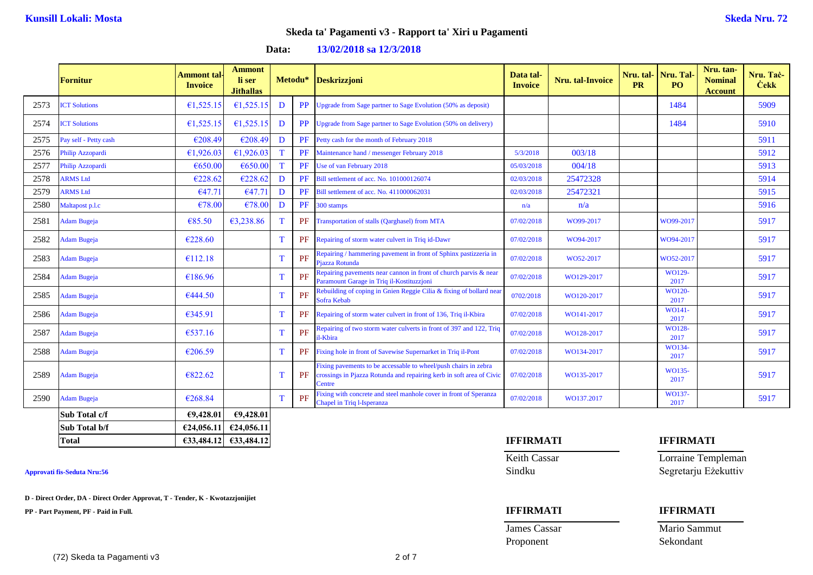**Data: 13/02/2018 sa 12/3/2018**

|      | <b>Fornitur</b>       | <b>Ammont tal</b><br><b>Invoice</b> | <b>Ammont</b><br>li ser<br><b>Jithallas</b> | Metodu* |           | <b>Deskrizzjoni</b>                                                                                                                                      | Data tal-<br><b>Invoice</b> | Nru. tal-Invoice | <b>PR</b> | Nru. tal-Nru. Tal<br>PO <sub>1</sub> | Nru. tan-<br><b>Nominal</b><br><b>Account</b> | Nru. Tač-<br><b>Cekk</b> |
|------|-----------------------|-------------------------------------|---------------------------------------------|---------|-----------|----------------------------------------------------------------------------------------------------------------------------------------------------------|-----------------------------|------------------|-----------|--------------------------------------|-----------------------------------------------|--------------------------|
| 2573 | <b>ICT Solutions</b>  | €1,525.15                           | €1,525.15                                   | D       | <b>PP</b> | Upgrade from Sage partner to Sage Evolution (50% as deposit)                                                                                             |                             |                  |           | 1484                                 |                                               | 5909                     |
| 2574 | <b>ICT Solutions</b>  | €1,525.15                           | €1,525.15                                   | D       | <b>PP</b> | Upgrade from Sage partner to Sage Evolution (50% on delivery)                                                                                            |                             |                  |           | 1484                                 |                                               | 5910                     |
| 2575 | Pay self - Petty cash | €208.49                             | €208.49                                     | D       | PF        | Petty cash for the month of February 2018                                                                                                                |                             |                  |           |                                      |                                               | 5911                     |
| 2576 | Philip Azzopardi      | €1,926.03                           | €1,926.03                                   |         | PF        | Maintenance hand / messenger February 2018                                                                                                               | 5/3/2018                    | 003/18           |           |                                      |                                               | 5912                     |
| 2577 | Philip Azzopardi      | €650.00                             | €650.00                                     | т       | PF        | Use of van February 2018                                                                                                                                 | 05/03/2018                  | 004/18           |           |                                      |                                               | 5913                     |
| 2578 | <b>ARMS Ltd</b>       | €228.62                             | €228.62                                     | D       | PF        | Bill settlement of acc. No. 101000126074                                                                                                                 | 02/03/2018                  | 25472328         |           |                                      |                                               | 5914                     |
| 2579 | <b>ARMS</b> Ltd       | €47.71                              | €47.71                                      | D       | PF        | Bill settlement of acc. No. 411000062031                                                                                                                 | 02/03/2018                  | 25472321         |           |                                      |                                               | 5915                     |
| 2580 | Maltapost p.l.c       | €78.00                              | €78.00                                      | D       | PF        | 300 stamps                                                                                                                                               | n/a                         | n/a              |           |                                      |                                               | 5916                     |
| 2581 | <b>Adam Bugeja</b>    | €85.50                              | €3,238.86                                   | т       | PF        | Transportation of stalls (Qarghasel) from MTA                                                                                                            | 07/02/2018                  | WO99-2017        |           | WO99-2017                            |                                               | 5917                     |
| 2582 | <b>Adam Bugeja</b>    | €228.60                             |                                             |         | PF        | Repairing of storm water culvert in Triq id-Dawr                                                                                                         | 07/02/2018                  | WO94-2017        |           | WO94-2017                            |                                               | 5917                     |
| 2583 | <b>Adam Bugeja</b>    | €112.18                             |                                             | т       | PF        | Repairing / hammering pavement in front of Sphinx pastizzeria in<br>Piazza Rotunda                                                                       | 07/02/2018                  | WO52-2017        |           | WO52-2017                            |                                               | 5917                     |
| 2584 | <b>Adam Bugeja</b>    | €186.96                             |                                             |         | PF        | Repairing pavements near cannon in front of church parvis & near<br>Paramount Garage in Triq il-Kostituzzjoni                                            | 07/02/2018                  | WO129-2017       |           | WO129-<br>2017                       |                                               | 5917                     |
| 2585 | <b>Adam Bugeja</b>    | €444.50                             |                                             |         | PF        | Rebuilding of coping in Gnien Reggie Cilia & fixing of bollard near<br>Sofra Kebab                                                                       | 0702/2018                   | WO120-2017       |           | WO120-<br>2017                       |                                               | 5917                     |
| 2586 | <b>Adam Bugeja</b>    | €345.91                             |                                             | т       | PF        | Repairing of storm water culvert in front of 136, Triq il-Kbira                                                                                          | 07/02/2018                  | WO141-2017       |           | WO141-<br>2017                       |                                               | 5917                     |
| 2587 | <b>Adam Bugeja</b>    | €537.16                             |                                             | T       | PF        | Repairing of two storm water culverts in front of 397 and 122, Triq<br>il-Kbira                                                                          | 07/02/2018                  | WO128-2017       |           | WO128-<br>2017                       |                                               | 5917                     |
| 2588 | <b>Adam Bugeja</b>    | €206.59                             |                                             | T       | PF        | Fixing hole in front of Savewise Supernarket in Triq il-Pont                                                                                             | 07/02/2018                  | WO134-2017       |           | WO134-<br>2017                       |                                               | 5917                     |
| 2589 | <b>Adam Bugeja</b>    | €822.62                             |                                             |         | PF        | Fixing pavements to be accessable to wheel/push chairs in zebra<br>crossings in Pjazza Rotunda and repairing kerb in soft area of Civic<br><b>Centre</b> | 07/02/2018                  | WO135-2017       |           | WO135-<br>2017                       |                                               | 5917                     |
| 2590 | <b>Adam Bugeja</b>    | €268.84                             |                                             | т       | PF        | Fixing with concrete and steel manhole cover in front of Speranza<br><b>Chapel in Triq l-Isperanza</b>                                                   | 07/02/2018                  | WO137.2017       |           | WO137-<br>2017                       |                                               | 5917                     |
|      | Sub Total c/f         | E9,428.01                           | 69,428.01                                   |         |           |                                                                                                                                                          |                             |                  |           |                                      |                                               |                          |
|      | Sub Total b/f         |                                     | $\epsilon$ 24,056.11 $\epsilon$ 24,056.11   |         |           |                                                                                                                                                          |                             |                  |           |                                      |                                               |                          |

**D - Direct Order, DA - Direct Order Approvat, T - Tender, K - Kwotazzjonijiet**

**PP - Part Payment, PF - Paid in Full. IFFIRMATI IFFIRMATI**

## **Total €33,484.12 €33,484.12 IFFIRMATI IFFIRMATI**

**James Cassar Mario Sammut** Proponent Sekondant

Keith Cassar **Lorraine Templeman Approvati fis-Seduta Nru:56** Sindku Segretarju Eżekuttiv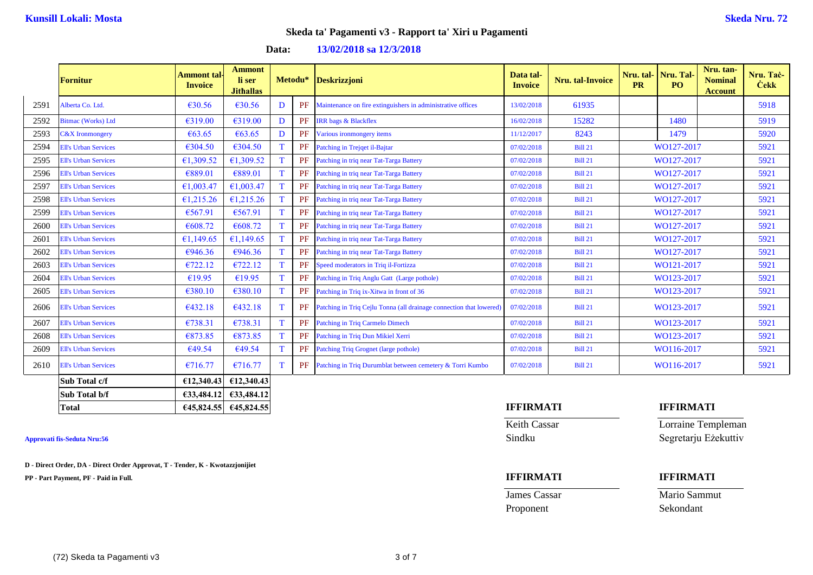## **Data: 13/02/2018 sa 12/3/2018**

|      | Fornitur                    | Ammont tal <sub>'</sub><br><b>Invoice</b> | <b>Ammont</b><br>li ser<br><b>Jithallas</b> | Metodu*  |           | <b>Deskrizzjoni</b>                                                | Data tal-<br><b>Invoice</b> | Nru. tal-Invoice | Nru. tal-<br><b>PR</b> | Nru. Tal<br>PO <sub>1</sub> | Nru. tan-<br><b>Nominal</b><br><b>Account</b> | Nru. Tač-<br><b>Cekk</b> |
|------|-----------------------------|-------------------------------------------|---------------------------------------------|----------|-----------|--------------------------------------------------------------------|-----------------------------|------------------|------------------------|-----------------------------|-----------------------------------------------|--------------------------|
| 2591 | Alberta Co. Ltd.            | €30.56                                    | €30.56                                      | D        | PF        | Maintenance on fire extinguishers in administrative offices        | 13/02/2018                  | 61935            |                        |                             |                                               | 5918                     |
| 2592 | Bitmac (Works) Ltd          | €319.00                                   | €319.00                                     | D        | PF        | <b>IRR</b> bags & Blackflex                                        | 16/02/2018                  | 15282            |                        | 1480                        |                                               | 5919                     |
| 2593 | <b>C&amp;X</b> Ironmongery  | € $63.65$                                 | €63.65                                      | D        | PF        | Various ironmongery items                                          | 11/12/2017                  | 8243             |                        | 1479                        |                                               | 5920                     |
| 2594 | <b>Ell's Urban Services</b> | €304.50                                   | €304.50                                     |          | PF        | Patching in Trejqet il-Bajtar                                      | 07/02/2018                  | <b>Bill 21</b>   |                        | WO127-2017                  |                                               | 5921                     |
| 2595 | <b>Ell's Urban Services</b> | €1,309.52                                 | €1,309.52                                   | T        | PF        | Patching in triq near Tat-Targa Battery                            | 07/02/2018                  | <b>Bill 21</b>   |                        | WO127-2017                  |                                               | 5921                     |
| 2596 | <b>Ell's Urban Services</b> | €889.01                                   | €889.01                                     |          | PF        | Patching in triq near Tat-Targa Battery                            | 07/02/2018                  | <b>Bill 21</b>   |                        | WO127-2017                  |                                               | 5921                     |
| 2597 | <b>Ell's Urban Services</b> | €1,003.47                                 | €1,003.47                                   | T        | PF        | Patching in triq near Tat-Targa Battery                            | 07/02/2018                  | <b>Bill 21</b>   |                        | WO127-2017                  |                                               | 5921                     |
| 2598 | <b>Ell's Urban Services</b> | €1,215.26                                 | €1,215.26                                   |          | PF        | Patching in triq near Tat-Targa Battery                            | 07/02/2018                  | <b>Bill 21</b>   |                        | WO127-2017                  |                                               | 5921                     |
| 2599 | <b>Ell's Urban Services</b> | €567.91                                   | €567.91                                     | т        | <b>PF</b> | Patching in triq near Tat-Targa Battery                            | 07/02/2018                  | <b>Bill 21</b>   |                        | WO127-2017                  |                                               | 5921                     |
| 2600 | <b>Ell's Urban Services</b> | €608.72                                   | €608.72                                     |          | <b>PF</b> | Patching in triq near Tat-Targa Battery                            | 07/02/2018                  | <b>Bill 21</b>   |                        | WO127-2017                  |                                               | 5921                     |
| 2601 | <b>Ell's Urban Services</b> | €1,149.65                                 | €1,149.65                                   | <b>T</b> | <b>PF</b> | Patching in triq near Tat-Targa Battery                            | 07/02/2018                  | <b>Bill 21</b>   |                        | WO127-2017                  |                                               | 5921                     |
| 2602 | <b>Ell's Urban Services</b> | €946.36                                   | €946.36                                     |          | <b>PF</b> | Patching in triq near Tat-Targa Battery                            | 07/02/2018                  | <b>Bill 21</b>   |                        | WO127-2017                  |                                               | 5921                     |
| 2603 | <b>Ell's Urban Services</b> | €722.12                                   | €722.12                                     |          | <b>PF</b> | Speed moderators in Triq il-Fortizza                               | 07/02/2018                  | <b>Bill 21</b>   |                        | WO121-2017                  |                                               | 5921                     |
| 2604 | <b>Ell's Urban Services</b> | €19.95                                    | €19.95                                      |          | <b>PF</b> | Patching in Triq Anglu Gatt (Large pothole)                        | 07/02/2018                  | <b>Bill 21</b>   |                        | WO123-2017                  |                                               | 5921                     |
| 2605 | <b>Ell's Urban Services</b> | €380.10                                   | €380.10                                     |          | PF        | Patching in Triq ix-Xitwa in front of 36                           | 07/02/2018                  | <b>Bill 21</b>   |                        | WO123-2017                  |                                               | 5921                     |
| 2606 | <b>Ell's Urban Services</b> | €432.18                                   | €432.18                                     | т        | PF        | Patching in Triq Cejlu Tonna (all drainage connection that lowered | 07/02/2018                  | <b>Bill 21</b>   |                        | WO123-2017                  |                                               | 5921                     |
| 2607 | <b>Ell's Urban Services</b> | €738.31                                   | €738.31                                     |          | PF        | Patching in Triq Carmelo Dimech                                    | 07/02/2018                  | <b>Bill 21</b>   |                        | WO123-2017                  |                                               | 5921                     |
| 2608 | <b>Ell's Urban Services</b> | €873.85                                   | €873.85                                     |          | PF        | Patching in Triq Dun Mikiel Xerri                                  | 07/02/2018                  | <b>Bill 21</b>   |                        | WO123-2017                  |                                               | 5921                     |
| 2609 | <b>Ell's Urban Services</b> | €49.54                                    | €49.54                                      |          | PF        | Patching Triq Grognet (large pothole)                              | 07/02/2018                  | <b>Bill 21</b>   |                        | WO116-2017                  |                                               | 5921                     |
| 2610 | <b>Ell's Urban Services</b> | €716.77                                   | €716.77                                     |          | PF        | Patching in Triq Durumblat between cemetery & Torri Kumbo          | 07/02/2018                  | <b>Bill 21</b>   |                        | WO116-2017                  |                                               | 5921                     |
|      | Sub Total c/f               | £12,340.43                                | £12,340.43                                  |          |           |                                                                    |                             |                  |                        |                             |                                               |                          |

**D - Direct Order, DA - Direct Order Approvat, T - Tender, K - Kwotazzjonijiet**

**Sub Total b/f €33,484.12 €33,484.12**

**PP - Part Payment, PF - Paid in Full. IFFIRMATI IFFIRMATI**

## **Total €45,824.55 €45,824.55 IFFIRMATI IFFIRMATI**

Proponent Sekondant

Keith Cassar **Lorraine Templeman Approvati fis-Seduta Nru:56** Sindku Segretarju Eżekuttiv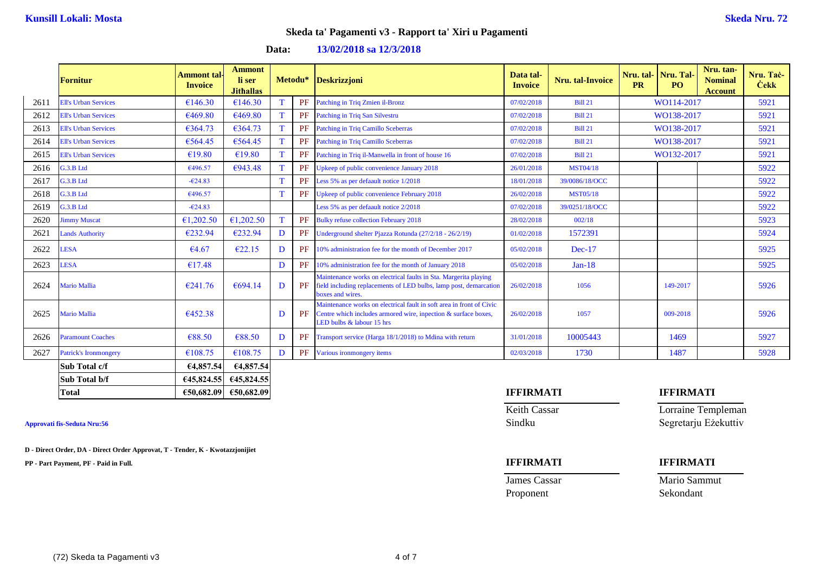**Data: 13/02/2018 sa 12/3/2018**

|      | <b>Fornitur</b>              | Ammont tal-<br><b>Invoice</b> | <b>Ammont</b><br>li ser<br><b>Jithallas</b> | Metodu*     |           | <b>Deskrizzjoni</b>                                                                                                                                                 | Data tal-<br><b>Invoice</b> | Nru. tal-Invoice | Nru. tal-<br><b>PR</b> | Nru. Tal-<br>P <sub>O</sub> | Nru. tan-<br><b>Nominal</b><br><b>Account</b> | Nru. Tač-<br><b>Cekk</b> |
|------|------------------------------|-------------------------------|---------------------------------------------|-------------|-----------|---------------------------------------------------------------------------------------------------------------------------------------------------------------------|-----------------------------|------------------|------------------------|-----------------------------|-----------------------------------------------|--------------------------|
| 2611 | <b>Ell's Urban Services</b>  | €146.30                       | €146.30                                     |             | PF        | Patching in Triq Zmien il-Bronz                                                                                                                                     | 07/02/2018                  | <b>Bill 21</b>   |                        | WO114-2017                  |                                               | 5921                     |
| 2612 | <b>Ell's Urban Services</b>  | €469.80                       | €469.80                                     |             | PF        | Patching in Triq San Silvestru                                                                                                                                      | 07/02/2018                  | <b>Bill 21</b>   |                        | WO138-2017                  |                                               | 5921                     |
| 2613 | <b>Ell's Urban Services</b>  | €364.73                       | €364.73                                     |             | <b>PF</b> | Patching in Triq Camillo Sceberras                                                                                                                                  | 07/02/2018                  | <b>Bill 21</b>   |                        | WO138-2017                  |                                               | 5921                     |
| 2614 | <b>Ell's Urban Services</b>  | €564.45                       | €564.45                                     |             | <b>PF</b> | <b>Patching in Triq Camillo Sceberras</b>                                                                                                                           | 07/02/2018                  | <b>Bill 21</b>   |                        | WO138-2017                  |                                               | 5921                     |
| 2615 | <b>Ell's Urban Services</b>  | €19.80                        | €19.80                                      |             | <b>PF</b> | Patching in Triq il-Manwella in front of house 16                                                                                                                   | 07/02/2018                  | <b>Bill 21</b>   |                        | WO132-2017                  |                                               | 5921                     |
| 2616 | G.3.B Ltd                    | €496.57                       | €943.48                                     |             | PF        | Upkeep of public convenience January 2018                                                                                                                           | 26/01/2018                  | <b>MST04/18</b>  |                        |                             |                                               | 5922                     |
| 2617 | G.3.B Ltd                    | $-624.83$                     |                                             | $\mathbf T$ | <b>PF</b> | Less 5% as per defaault notice 1/2018                                                                                                                               | 18/01/2018                  | 39/0086/18/OCC   |                        |                             |                                               | 5922                     |
| 2618 | G.3.B Ltd                    | €496.57                       |                                             | $\mathbf T$ | PF        | Upkeep of public convenience February 2018                                                                                                                          | 26/02/2018                  | <b>MST05/18</b>  |                        |                             |                                               | 5922                     |
| 2619 | G.3.B Ltd                    | $-624.83$                     |                                             |             |           | Less 5% as per defaault notice 2/2018                                                                                                                               | 07/02/2018                  | 39/0251/18/OCC   |                        |                             |                                               | 5922                     |
| 2620 | <b>Jimmy Muscat</b>          | €1,202.50                     | €1,202.50                                   | T           | <b>PF</b> | <b>Bulky refuse collection February 2018</b>                                                                                                                        | 28/02/2018                  | 002/18           |                        |                             |                                               | 5923                     |
| 2621 | <b>Lands Authority</b>       | €232.94                       | €232.94                                     | D           | PF        | Underground shelter Pjazza Rotunda (27/2/18 - 26/2/19)                                                                                                              | 01/02/2018                  | 1572391          |                        |                             |                                               | 5924                     |
| 2622 | <b>LESA</b>                  | €4.67                         | €22.15                                      | D           | PF        | 10% administration fee for the month of December 2017                                                                                                               | 05/02/2018                  | $Dec-17$         |                        |                             |                                               | 5925                     |
| 2623 | <b>LESA</b>                  | €17.48                        |                                             | D           | <b>PF</b> | 10% administration fee for the month of January 2018                                                                                                                | 05/02/2018                  | $Jan-18$         |                        |                             |                                               | 5925                     |
| 2624 | <b>Mario Mallia</b>          | €241.76                       | €694.14                                     | D           | PF        | Maintenance works on electrical faults in Sta. Margerita playing<br>field including replacements of LED bulbs, lamp post, demarcation<br>boxes and wires.           | 26/02/2018                  | 1056             |                        | 149-2017                    |                                               | 5926                     |
| 2625 | <b>Mario Mallia</b>          | €452.38                       |                                             | D           | PF        | Maintenance works on electrical fault in soft area in front of Civic<br>Centre which includes armored wire, inpection & surface boxes,<br>LED bulbs & labour 15 hrs | 26/02/2018                  | 1057             |                        | 009-2018                    |                                               | 5926                     |
| 2626 | <b>Paramount Coaches</b>     | €88.50                        | €88.50                                      | D           | PF        | Transport service (Harga 18/1/2018) to Mdina with return                                                                                                            | 31/01/2018                  | 10005443         |                        | 1469                        |                                               | 5927                     |
| 2627 | <b>Patrick's Ironmongery</b> | €108.75                       | €108.75                                     | D           | PF        | Various ironmongery items                                                                                                                                           | 02/03/2018                  | 1730             |                        | 1487                        |                                               | 5928                     |
|      | Sub Total c/f                | €4,857.54                     | €4,857.54                                   |             |           |                                                                                                                                                                     |                             |                  |                        |                             |                                               |                          |
|      | Sub Total b/f                |                               | $645,824.55$ $645,824.55$                   |             |           |                                                                                                                                                                     |                             |                  |                        |                             |                                               |                          |

**D - Direct Order, DA - Direct Order Approvat, T - Tender, K - Kwotazzjonijiet**

**PP - Part Payment, PF - Paid in Full. IFFIRMATI IFFIRMATI**

Proponent Sekondant

## **Total €50,682.09 €50,682.09 IFFIRMATI IFFIRMATI**

Keith Cassar **Lorraine Templeman Approvati fis-Seduta Nru:56** Sindku Segretarju Eżekuttiv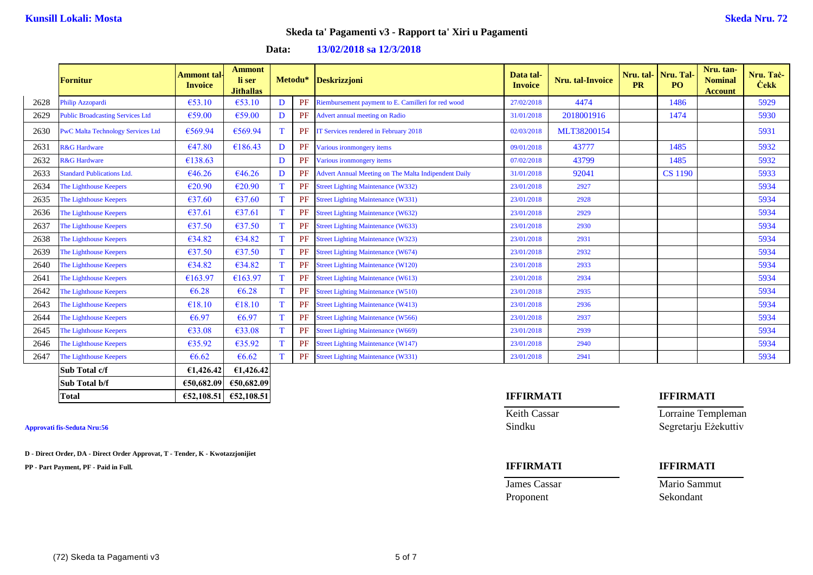**Data: 13/02/2018 sa 12/3/2018**

|      | <b>Fornitur</b>                          | Ammont tal·<br><b>Invoice</b> | <b>Ammont</b><br>li ser<br><b>Jithallas</b> | Metodu* |    | <b>Deskrizzjoni</b>                                  | Data tal-<br><b>Invoice</b> | Nru. tal-Invoice | Nru. tal-<br><b>PR</b> | Nru. Tal-<br>PO <sub>1</sub> | Nru. tan-<br><b>Nominal</b><br><b>Account</b> | Nru. Tač-<br><b>Cekk</b> |
|------|------------------------------------------|-------------------------------|---------------------------------------------|---------|----|------------------------------------------------------|-----------------------------|------------------|------------------------|------------------------------|-----------------------------------------------|--------------------------|
| 2628 | Philip Azzopardi                         | €53.10                        | €53.10                                      | D       | PF | Riembursement payment to E. Camilleri for red wood   | 27/02/2018                  | 4474             |                        | 1486                         |                                               | 5929                     |
| 2629 | <b>Public Broadcasting Services Ltd</b>  | €59.00                        | €59.00                                      | D       | PF | Advert annual meeting on Radio                       | 31/01/2018                  | 2018001916       |                        | 1474                         |                                               | 5930                     |
| 2630 | <b>PwC Malta Technology Services Ltd</b> | €569.94                       | €569.94                                     |         | PF | IT Services rendered in February 2018                | 02/03/2018                  | MLT38200154      |                        |                              |                                               | 5931                     |
| 2631 | <b>R&amp;G</b> Hardware                  | €47.80                        | €186.43                                     | D       | PF | Various ironmongery items                            | 09/01/2018                  | 43777            |                        | 1485                         |                                               | 5932                     |
| 2632 | <b>R&amp;G Hardware</b>                  | €138.63                       |                                             | D       | PF | Various ironmongery items                            | 07/02/2018                  | 43799            |                        | 1485                         |                                               | 5932                     |
| 2633 | <b>Standard Publications Ltd.</b>        | €46.26                        | €46.26                                      | D       | PF | Advert Annual Meeting on The Malta Indipendent Daily | 31/01/2018                  | 92041            |                        | <b>CS</b> 1190               |                                               | 5933                     |
| 2634 | The Lighthouse Keepers                   | €20.90                        | €20.90                                      |         | PF | <b>Street Lighting Maintenance (W332)</b>            | 23/01/2018                  | 2927             |                        |                              |                                               | 5934                     |
| 2635 | The Lighthouse Keepers                   | €37.60                        | €37.60                                      |         | PF | <b>Street Lighting Maintenance (W331)</b>            | 23/01/2018                  | 2928             |                        |                              |                                               | 5934                     |
| 2636 | The Lighthouse Keepers                   | €37.61                        | €37.61                                      |         | PF | <b>Street Lighting Maintenance (W632)</b>            | 23/01/2018                  | 2929             |                        |                              |                                               | 5934                     |
| 2637 | The Lighthouse Keepers                   | €37.50                        | €37.50                                      |         | PF | <b>Street Lighting Maintenance (W633)</b>            | 23/01/2018                  | 2930             |                        |                              |                                               | 5934                     |
| 2638 | The Lighthouse Keepers                   | €34.82                        | €34.82                                      |         | PF | <b>Street Lighting Maintenance (W323)</b>            | 23/01/2018                  | 2931             |                        |                              |                                               | 5934                     |
| 2639 | The Lighthouse Keepers                   | €37.50                        | €37.50                                      |         | PF | <b>Street Lighting Maintenance (W674)</b>            | 23/01/2018                  | 2932             |                        |                              |                                               | 5934                     |
| 2640 | The Lighthouse Keepers                   | €34.82                        | €34.82                                      |         | PF | <b>Street Lighting Maintenance (W120)</b>            | 23/01/2018                  | 2933             |                        |                              |                                               | 5934                     |
| 2641 | The Lighthouse Keepers                   | €163.97                       | €163.97                                     |         | PF | <b>Street Lighting Maintenance (W613)</b>            | 23/01/2018                  | 2934             |                        |                              |                                               | 5934                     |
| 2642 | The Lighthouse Keepers                   | €6.28                         | €6.28                                       |         | PF | <b>Street Lighting Maintenance (W510)</b>            | 23/01/2018                  | 2935             |                        |                              |                                               | 5934                     |
| 2643 | The Lighthouse Keepers                   | €18.10                        | €18.10                                      |         | PF | <b>Street Lighting Maintenance (W413)</b>            | 23/01/2018                  | 2936             |                        |                              |                                               | 5934                     |
| 2644 | The Lighthouse Keepers                   | €6.97                         | €6.97                                       |         | PF | <b>Street Lighting Maintenance (W566)</b>            | 23/01/2018                  | 2937             |                        |                              |                                               | 5934                     |
| 2645 | The Lighthouse Keepers                   | €33.08                        | €33.08                                      |         | PF | <b>Street Lighting Maintenance (W669)</b>            | 23/01/2018                  | 2939             |                        |                              |                                               | 5934                     |
| 2646 | The Lighthouse Keepers                   | €35.92                        | €35.92                                      |         | PF | <b>Street Lighting Maintenance (W147)</b>            | 23/01/2018                  | 2940             |                        |                              |                                               | 5934                     |
| 2647 | The Lighthouse Keepers                   | €6.62                         | €6.62                                       |         | PF | <b>Street Lighting Maintenance (W331)</b>            | 23/01/2018                  | 2941             |                        |                              |                                               | 5934                     |
|      | Sub Total c/f                            | €1,426.42                     | E1,426.42                                   |         |    |                                                      |                             |                  |                        |                              |                                               |                          |
|      | Sub Total b/f                            | €50,682.09                    | €50,682.09                                  |         |    |                                                      |                             |                  |                        |                              |                                               |                          |

**D - Direct Order, DA - Direct Order Approvat, T - Tender, K - Kwotazzjonijiet**

**PP - Part Payment, PF - Paid in Full. IFFIRMATI IFFIRMATI**

Proponent Sekondant

## **Total €52,108.51 €52,108.51 IFFIRMATI IFFIRMATI**

Keith Cassar **Lorraine Templeman Approvati fis-Seduta Nru:56** Sindku Segretarju Eżekuttiv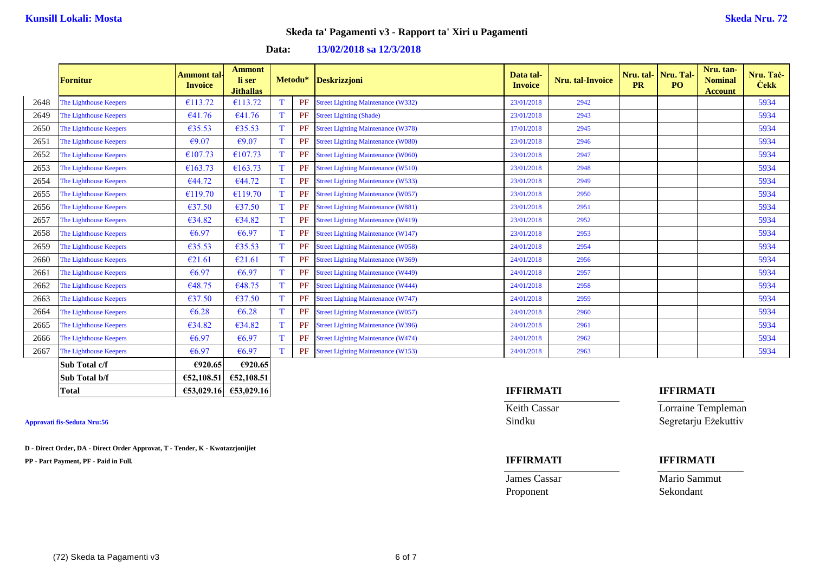| Data: | 13/02/2018 sa 12/3/2018 |  |
|-------|-------------------------|--|
|-------|-------------------------|--|

|      | <b>Fornitur</b>        | <b>Ammont</b> tal-<br><b>Invoice</b> | <b>Ammont</b><br>li ser<br><b>Jithallas</b> |   | Metodu*   | <b>Deskrizzjoni</b>                       | Data tal-<br><b>Invoice</b> | Nru. tal-Invoice | Nru. tal-<br><b>PR</b> | Nru. Tal-<br>PO. | Nru. tan-<br><b>Nominal</b><br><b>Account</b> | Nru. Tač-<br><b>Cekk</b> |
|------|------------------------|--------------------------------------|---------------------------------------------|---|-----------|-------------------------------------------|-----------------------------|------------------|------------------------|------------------|-----------------------------------------------|--------------------------|
| 2648 | The Lighthouse Keepers | €113.72                              | €113.72                                     |   | PF        | <b>Street Lighting Maintenance (W332)</b> | 23/01/2018                  | 2942             |                        |                  |                                               | 5934                     |
| 2649 | The Lighthouse Keepers | €41.76                               | €41.76                                      |   | PF        | <b>Street Lighting (Shade)</b>            | 23/01/2018                  | 2943             |                        |                  |                                               | 5934                     |
| 2650 | The Lighthouse Keepers | €35.53                               | €35.53                                      |   | PF        | <b>Street Lighting Maintenance (W378)</b> | 17/01/2018                  | 2945             |                        |                  |                                               | 5934                     |
| 2651 | The Lighthouse Keepers | €9.07                                | €9.07                                       | T | PF        | <b>Street Lighting Maintenance (W080)</b> | 23/01/2018                  | 2946             |                        |                  |                                               | 5934                     |
| 2652 | The Lighthouse Keepers | €107.73                              | €107.73                                     | T | PF        | <b>Street Lighting Maintenance (W060)</b> | 23/01/2018                  | 2947             |                        |                  |                                               | 5934                     |
| 2653 | The Lighthouse Keepers | €163.73                              | €163.73                                     | T | PF        | <b>Street Lighting Maintenance (W510)</b> | 23/01/2018                  | 2948             |                        |                  |                                               | 5934                     |
| 2654 | The Lighthouse Keepers | €44.72                               | €44.72                                      | T | PF        | <b>Street Lighting Maintenance (W533)</b> | 23/01/2018                  | 2949             |                        |                  |                                               | 5934                     |
| 2655 | The Lighthouse Keepers | €119.70                              | €119.70                                     | T | PF        | <b>Street Lighting Maintenance (W057)</b> | 23/01/2018                  | 2950             |                        |                  |                                               | 5934                     |
| 2656 | The Lighthouse Keepers | €37.50                               | €37.50                                      |   | PF        | <b>Street Lighting Maintenance (W881)</b> | 23/01/2018                  | 2951             |                        |                  |                                               | 5934                     |
| 2657 | The Lighthouse Keepers | €34.82                               | €34.82                                      |   | <b>PF</b> | <b>Street Lighting Maintenance (W419)</b> | 23/01/2018                  | 2952             |                        |                  |                                               | 5934                     |
| 2658 | The Lighthouse Keepers | €6.97                                | €6.97                                       |   | PF        | <b>Street Lighting Maintenance (W147)</b> | 23/01/2018                  | 2953             |                        |                  |                                               | 5934                     |
| 2659 | The Lighthouse Keepers | €35.53                               | €35.53                                      | T | PF        | <b>Street Lighting Maintenance (W058)</b> | 24/01/2018                  | 2954             |                        |                  |                                               | 5934                     |
| 2660 | The Lighthouse Keepers | €21.61                               | €21.61                                      | т | PF        | <b>Street Lighting Maintenance (W369)</b> | 24/01/2018                  | 2956             |                        |                  |                                               | 5934                     |
| 2661 | The Lighthouse Keepers | €6.97                                | €6.97                                       | T | PF        | <b>Street Lighting Maintenance (W449)</b> | 24/01/2018                  | 2957             |                        |                  |                                               | 5934                     |
| 2662 | The Lighthouse Keepers | €48.75                               | €48.75                                      |   | PF        | <b>Street Lighting Maintenance (W444)</b> | 24/01/2018                  | 2958             |                        |                  |                                               | 5934                     |
| 2663 | The Lighthouse Keepers | €37.50                               | €37.50                                      |   | PF        | <b>Street Lighting Maintenance (W747)</b> | 24/01/2018                  | 2959             |                        |                  |                                               | 5934                     |
| 2664 | The Lighthouse Keepers | €6.28                                | €6.28                                       |   | PF        | <b>Street Lighting Maintenance (W057)</b> | 24/01/2018                  | 2960             |                        |                  |                                               | 5934                     |
| 2665 | The Lighthouse Keepers | €34.82                               | €34.82                                      |   | PF        | <b>Street Lighting Maintenance (W396)</b> | 24/01/2018                  | 2961             |                        |                  |                                               | 5934                     |
| 2666 | The Lighthouse Keepers | €6.97                                | €6.97                                       |   | PF        | <b>Street Lighting Maintenance (W474)</b> | 24/01/2018                  | 2962             |                        |                  |                                               | 5934                     |
| 2667 | The Lighthouse Keepers | €6.97                                | €6.97                                       |   | PF        | <b>Street Lighting Maintenance (W153)</b> | 24/01/2018                  | 2963             |                        |                  |                                               | 5934                     |
|      | Sub Total c/f          | €920.65                              | €920.65                                     |   |           |                                           |                             |                  |                        |                  |                                               |                          |
|      | Sub Total b/f          | 652,108.51                           | €52,108.51                                  |   |           |                                           |                             |                  |                        |                  |                                               |                          |

**D - Direct Order, DA - Direct Order Approvat, T - Tender, K - Kwotazzjonijiet**

**PP - Part Payment, PF - Paid in Full. IFFIRMATI IFFIRMATI**

## **Total €53,029.16 €53,029.16 IFFIRMATI IFFIRMATI**

Proponent Sekondant

Keith Cassar **Lorraine Templeman Approvati fis-Seduta Nru:56** Sindku Segretarju Eżekuttiv